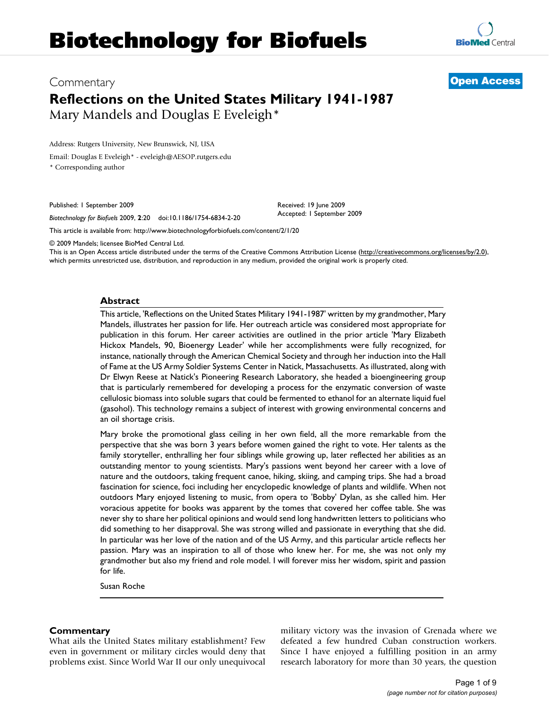## Commentary **[Open Access](http://www.biomedcentral.com/info/about/charter/) Reflections on the United States Military 1941-1987** Mary Mandels and Douglas E Eveleigh\*

Address: Rutgers University, New Brunswick, NJ, USA

Email: Douglas E Eveleigh\* - eveleigh@AESOP.rutgers.edu

\* Corresponding author

Published: 1 September 2009

*Biotechnology for Biofuels* 2009, **2**:20 doi:10.1186/1754-6834-2-20

[This article is available from: http://www.biotechnologyforbiofuels.com/content/2/1/20](http://www.biotechnologyforbiofuels.com/content/2/1/20)

© 2009 Mandels; licensee BioMed Central Ltd.

This is an Open Access article distributed under the terms of the Creative Commons Attribution License [\(http://creativecommons.org/licenses/by/2.0\)](http://creativecommons.org/licenses/by/2.0), which permits unrestricted use, distribution, and reproduction in any medium, provided the original work is properly cited.

Received: 19 June 2009 Accepted: 1 September 2009

## **Abstract**

This article, 'Reflections on the United States Military 1941-1987' written by my grandmother, Mary Mandels, illustrates her passion for life. Her outreach article was considered most appropriate for publication in this forum. Her career activities are outlined in the prior article 'Mary Elizabeth Hickox Mandels, 90, Bioenergy Leader' while her accomplishments were fully recognized, for instance, nationally through the American Chemical Society and through her induction into the Hall of Fame at the US Army Soldier Systems Center in Natick, Massachusetts. As illustrated, along with Dr Elwyn Reese at Natick's Pioneering Research Laboratory, she headed a bioengineering group that is particularly remembered for developing a process for the enzymatic conversion of waste cellulosic biomass into soluble sugars that could be fermented to ethanol for an alternate liquid fuel (gasohol). This technology remains a subject of interest with growing environmental concerns and an oil shortage crisis.

Mary broke the promotional glass ceiling in her own field, all the more remarkable from the perspective that she was born 3 years before women gained the right to vote. Her talents as the family storyteller, enthralling her four siblings while growing up, later reflected her abilities as an outstanding mentor to young scientists. Mary's passions went beyond her career with a love of nature and the outdoors, taking frequent canoe, hiking, skiing, and camping trips. She had a broad fascination for science, foci including her encyclopedic knowledge of plants and wildlife. When not outdoors Mary enjoyed listening to music, from opera to 'Bobby' Dylan, as she called him. Her voracious appetite for books was apparent by the tomes that covered her coffee table. She was never shy to share her political opinions and would send long handwritten letters to politicians who did something to her disapproval. She was strong willed and passionate in everything that she did. In particular was her love of the nation and of the US Army, and this particular article reflects her passion. Mary was an inspiration to all of those who knew her. For me, she was not only my grandmother but also my friend and role model. I will forever miss her wisdom, spirit and passion for life.

Susan Roche

## **Commentary**

What ails the United States military establishment? Few even in government or military circles would deny that problems exist. Since World War II our only unequivocal military victory was the invasion of Grenada where we defeated a few hundred Cuban construction workers. Since I have enjoyed a fulfilling position in an army research laboratory for more than 30 years, the question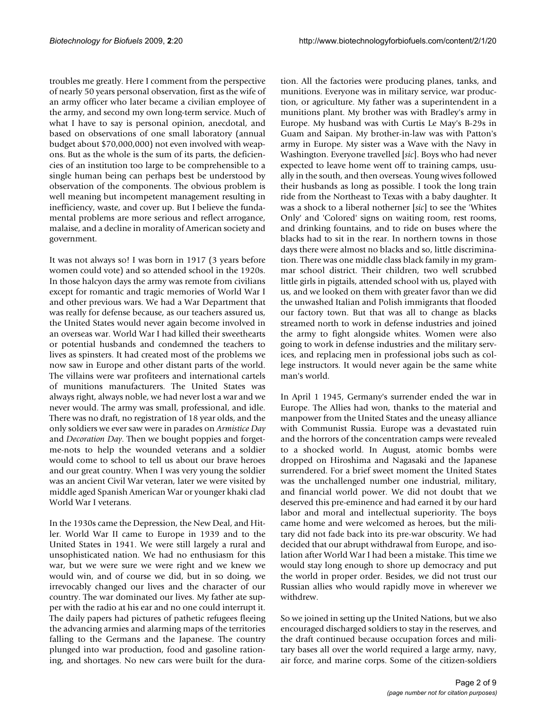troubles me greatly. Here I comment from the perspective of nearly 50 years personal observation, first as the wife of an army officer who later became a civilian employee of the army, and second my own long-term service. Much of what I have to say is personal opinion, anecdotal, and based on observations of one small laboratory (annual budget about \$70,000,000) not even involved with weapons. But as the whole is the sum of its parts, the deficiencies of an institution too large to be comprehensible to a single human being can perhaps best be understood by observation of the components. The obvious problem is well meaning but incompetent management resulting in inefficiency, waste, and cover up. But I believe the fundamental problems are more serious and reflect arrogance, malaise, and a decline in morality of American society and government.

It was not always so! I was born in 1917 (3 years before women could vote) and so attended school in the 1920s. In those halcyon days the army was remote from civilians except for romantic and tragic memories of World War I and other previous wars. We had a War Department that was really for defense because, as our teachers assured us, the United States would never again become involved in an overseas war. World War I had killed their sweethearts or potential husbands and condemned the teachers to lives as spinsters. It had created most of the problems we now saw in Europe and other distant parts of the world. The villains were war profiteers and international cartels of munitions manufacturers. The United States was always right, always noble, we had never lost a war and we never would. The army was small, professional, and idle. There was no draft, no registration of 18 year olds, and the only soldiers we ever saw were in parades on *Armistice Day* and *Decoration Day*. Then we bought poppies and forgetme-nots to help the wounded veterans and a soldier would come to school to tell us about our brave heroes and our great country. When I was very young the soldier was an ancient Civil War veteran, later we were visited by middle aged Spanish American War or younger khaki clad World War I veterans.

In the 1930s came the Depression, the New Deal, and Hitler. World War II came to Europe in 1939 and to the United States in 1941. We were still largely a rural and unsophisticated nation. We had no enthusiasm for this war, but we were sure we were right and we knew we would win, and of course we did, but in so doing, we irrevocably changed our lives and the character of our country. The war dominated our lives. My father ate supper with the radio at his ear and no one could interrupt it. The daily papers had pictures of pathetic refugees fleeing the advancing armies and alarming maps of the territories falling to the Germans and the Japanese. The country plunged into war production, food and gasoline rationing, and shortages. No new cars were built for the duration. All the factories were producing planes, tanks, and munitions. Everyone was in military service, war production, or agriculture. My father was a superintendent in a munitions plant. My brother was with Bradley's army in Europe. My husband was with Curtis Le May's B-29s in Guam and Saipan. My brother-in-law was with Patton's army in Europe. My sister was a Wave with the Navy in Washington. Everyone travelled [*sic*]. Boys who had never expected to leave home went off to training camps, usually in the south, and then overseas. Young wives followed their husbands as long as possible. I took the long train ride from the Northeast to Texas with a baby daughter. It was a shock to a liberal notherner [*sic*] to see the 'Whites Only' and 'Colored' signs on waiting room, rest rooms, and drinking fountains, and to ride on buses where the blacks had to sit in the rear. In northern towns in those days there were almost no blacks and so, little discrimination. There was one middle class black family in my grammar school district. Their children, two well scrubbed little girls in pigtails, attended school with us, played with us, and we looked on them with greater favor than we did the unwashed Italian and Polish immigrants that flooded our factory town. But that was all to change as blacks streamed north to work in defense industries and joined the army to fight alongside whites. Women were also going to work in defense industries and the military services, and replacing men in professional jobs such as college instructors. It would never again be the same white man's world.

In April 1 1945, Germany's surrender ended the war in Europe. The Allies had won, thanks to the material and manpower from the United States and the uneasy alliance with Communist Russia. Europe was a devastated ruin and the horrors of the concentration camps were revealed to a shocked world. In August, atomic bombs were dropped on Hiroshima and Nagasaki and the Japanese surrendered. For a brief sweet moment the United States was the unchallenged number one industrial, military, and financial world power. We did not doubt that we deserved this pre-eminence and had earned it by our hard labor and moral and intellectual superiority. The boys came home and were welcomed as heroes, but the military did not fade back into its pre-war obscurity. We had decided that our abrupt withdrawal from Europe, and isolation after World War I had been a mistake. This time we would stay long enough to shore up democracy and put the world in proper order. Besides, we did not trust our Russian allies who would rapidly move in wherever we withdrew.

So we joined in setting up the United Nations, but we also encouraged discharged soldiers to stay in the reserves, and the draft continued because occupation forces and military bases all over the world required a large army, navy, air force, and marine corps. Some of the citizen-soldiers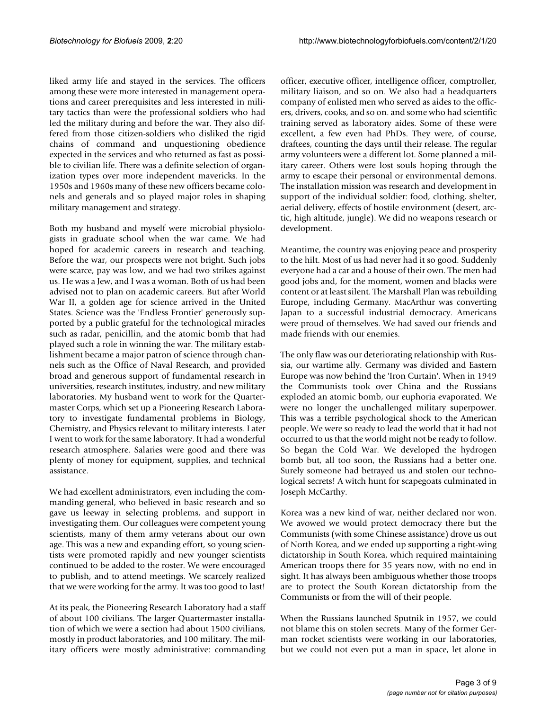liked army life and stayed in the services. The officers among these were more interested in management operations and career prerequisites and less interested in military tactics than were the professional soldiers who had led the military during and before the war. They also differed from those citizen-soldiers who disliked the rigid chains of command and unquestioning obedience expected in the services and who returned as fast as possible to civilian life. There was a definite selection of organization types over more independent mavericks. In the 1950s and 1960s many of these new officers became colonels and generals and so played major roles in shaping military management and strategy.

Both my husband and myself were microbial physiologists in graduate school when the war came. We had hoped for academic careers in research and teaching. Before the war, our prospects were not bright. Such jobs were scarce, pay was low, and we had two strikes against us. He was a Jew, and I was a woman. Both of us had been advised not to plan on academic careers. But after World War II, a golden age for science arrived in the United States. Science was the 'Endless Frontier' generously supported by a public grateful for the technological miracles such as radar, penicillin, and the atomic bomb that had played such a role in winning the war. The military establishment became a major patron of science through channels such as the Office of Naval Research, and provided broad and generous support of fundamental research in universities, research institutes, industry, and new military laboratories. My husband went to work for the Quartermaster Corps, which set up a Pioneering Research Laboratory to investigate fundamental problems in Biology, Chemistry, and Physics relevant to military interests. Later I went to work for the same laboratory. It had a wonderful research atmosphere. Salaries were good and there was plenty of money for equipment, supplies, and technical assistance.

We had excellent administrators, even including the commanding general, who believed in basic research and so gave us leeway in selecting problems, and support in investigating them. Our colleagues were competent young scientists, many of them army veterans about our own age. This was a new and expanding effort, so young scientists were promoted rapidly and new younger scientists continued to be added to the roster. We were encouraged to publish, and to attend meetings. We scarcely realized that we were working for the army. It was too good to last!

At its peak, the Pioneering Research Laboratory had a staff of about 100 civilians. The larger Quartermaster installation of which we were a section had about 1500 civilians, mostly in product laboratories, and 100 military. The military officers were mostly administrative: commanding officer, executive officer, intelligence officer, comptroller, military liaison, and so on. We also had a headquarters company of enlisted men who served as aides to the officers, drivers, cooks, and so on. and some who had scientific training served as laboratory aides. Some of these were excellent, a few even had PhDs. They were, of course, draftees, counting the days until their release. The regular army volunteers were a different lot. Some planned a military career. Others were lost souls hoping through the army to escape their personal or environmental demons. The installation mission was research and development in support of the individual soldier: food, clothing, shelter, aerial delivery, effects of hostile environment (desert, arctic, high altitude, jungle). We did no weapons research or development.

Meantime, the country was enjoying peace and prosperity to the hilt. Most of us had never had it so good. Suddenly everyone had a car and a house of their own. The men had good jobs and, for the moment, women and blacks were content or at least silent. The Marshall Plan was rebuilding Europe, including Germany. MacArthur was converting Japan to a successful industrial democracy. Americans were proud of themselves. We had saved our friends and made friends with our enemies.

The only flaw was our deteriorating relationship with Russia, our wartime ally. Germany was divided and Eastern Europe was now behind the 'Iron Curtain'. When in 1949 the Communists took over China and the Russians exploded an atomic bomb, our euphoria evaporated. We were no longer the unchallenged military superpower. This was a terrible psychological shock to the American people. We were so ready to lead the world that it had not occurred to us that the world might not be ready to follow. So began the Cold War. We developed the hydrogen bomb but, all too soon, the Russians had a better one. Surely someone had betrayed us and stolen our technological secrets! A witch hunt for scapegoats culminated in Joseph McCarthy.

Korea was a new kind of war, neither declared nor won. We avowed we would protect democracy there but the Communists (with some Chinese assistance) drove us out of North Korea, and we ended up supporting a right-wing dictatorship in South Korea, which required maintaining American troops there for 35 years now, with no end in sight. It has always been ambiguous whether those troops are to protect the South Korean dictatorship from the Communists or from the will of their people.

When the Russians launched Sputnik in 1957, we could not blame this on stolen secrets. Many of the former German rocket scientists were working in our laboratories, but we could not even put a man in space, let alone in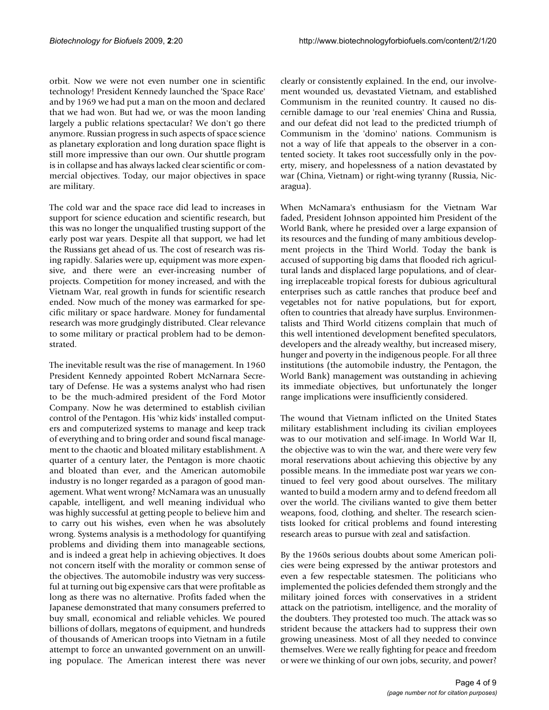orbit. Now we were not even number one in scientific technology! President Kennedy launched the 'Space Race' and by 1969 we had put a man on the moon and declared that we had won. But had we, or was the moon landing largely a public relations spectacular? We don't go there anymore. Russian progress in such aspects of space science as planetary exploration and long duration space flight is still more impressive than our own. Our shuttle program is in collapse and has always lacked clear scientific or commercial objectives. Today, our major objectives in space are military.

The cold war and the space race did lead to increases in support for science education and scientific research, but this was no longer the unqualified trusting support of the early post war years. Despite all that support, we had let the Russians get ahead of us. The cost of research was rising rapidly. Salaries were up, equipment was more expensive, and there were an ever-increasing number of projects. Competition for money increased, and with the Vietnam War, real growth in funds for scientific research ended. Now much of the money was earmarked for specific military or space hardware. Money for fundamental research was more grudgingly distributed. Clear relevance to some military or practical problem had to be demonstrated.

The inevitable result was the rise of management. In 1960 President Kennedy appointed Robert McNarnara Secretary of Defense. He was a systems analyst who had risen to be the much-admired president of the Ford Motor Company. Now he was determined to establish civilian control of the Pentagon. His 'whiz kids' installed computers and computerized systems to manage and keep track of everything and to bring order and sound fiscal management to the chaotic and bloated military establishment. A quarter of a century later, the Pentagon is more chaotic and bloated than ever, and the American automobile industry is no longer regarded as a paragon of good management. What went wrong? McNamara was an unusually capable, intelligent, and well meaning individual who was highly successful at getting people to believe him and to carry out his wishes, even when he was absolutely wrong. Systems analysis is a methodology for quantifying problems and dividing them into manageable sections, and is indeed a great help in achieving objectives. It does not concern itself with the morality or common sense of the objectives. The automobile industry was very successful at turning out big expensive cars that were profitable as long as there was no alternative. Profits faded when the Japanese demonstrated that many consumers preferred to buy small, economical and reliable vehicles. We poured billions of dollars, megatons of equipment, and hundreds of thousands of American troops into Vietnam in a futile attempt to force an unwanted government on an unwilling populace. The American interest there was never clearly or consistently explained. In the end, our involvement wounded us, devastated Vietnam, and established Communism in the reunited country. It caused no discernible damage to our 'real enemies' China and Russia, and our defeat did not lead to the predicted triumph of Communism in the 'domino' nations. Communism is not a way of life that appeals to the observer in a contented society. It takes root successfully only in the poverty, misery, and hopelessness of a nation devastated by war (China, Vietnam) or right-wing tyranny (Russia, Nicaragua).

When McNamara's enthusiasm for the Vietnam War faded, President Johnson appointed him President of the World Bank, where he presided over a large expansion of its resources and the funding of many ambitious development projects in the Third World. Today the bank is accused of supporting big dams that flooded rich agricultural lands and displaced large populations, and of clearing irreplaceable tropical forests for dubious agricultural enterprises such as cattle ranches that produce beef and vegetables not for native populations, but for export, often to countries that already have surplus. Environmentalists and Third World citizens complain that much of this well intentioned development benefited speculators, developers and the already wealthy, but increased misery, hunger and poverty in the indigenous people. For all three institutions (the automobile industry, the Pentagon, the World Bank) management was outstanding in achieving its immediate objectives, but unfortunately the longer range implications were insufficiently considered.

The wound that Vietnam inflicted on the United States military establishment including its civilian employees was to our motivation and self-image. In World War II, the objective was to win the war, and there were very few moral reservations about achieving this objective by any possible means. In the immediate post war years we continued to feel very good about ourselves. The military wanted to build a modern army and to defend freedom all over the world. The civilians wanted to give them better weapons, food, clothing, and shelter. The research scientists looked for critical problems and found interesting research areas to pursue with zeal and satisfaction.

By the 1960s serious doubts about some American policies were being expressed by the antiwar protestors and even a few respectable statesmen. The politicians who implemented the policies defended them strongly and the military joined forces with conservatives in a strident attack on the patriotism, intelligence, and the morality of the doubters. They protested too much. The attack was so strident because the attackers had to suppress their own growing uneasiness. Most of all they needed to convince themselves. Were we really fighting for peace and freedom or were we thinking of our own jobs, security, and power?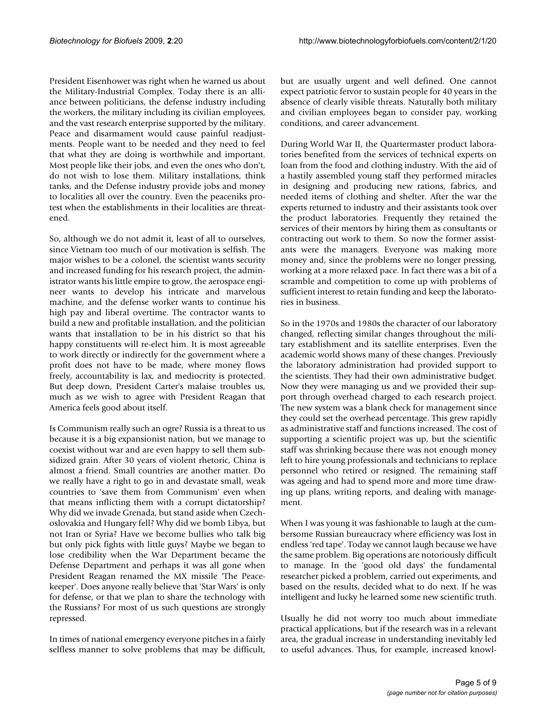President Eisenhower was right when he warned us about the Military-Industrial Complex. Today there is an alliance between politicians, the defense industry including the workers, the military including its civilian employees, and the vast research enterprise supported by the military. Peace and disarmament would cause painful readjustments. People want to be needed and they need to feel that what they are doing is worthwhile and important. Most people like their jobs, and even the ones who don't, do not wish to lose them. Military installations, think tanks, and the Defense industry provide jobs and money to localities all over the country. Even the peaceniks protest when the establishments in their localities are threatened.

So, although we do not admit it, least of all to ourselves, since Vietnam too much of our motivation is selfish. The major wishes to be a colonel, the scientist wants security and increased funding for his research project, the administrator wants his little empire to grow, the aerospace engineer wants to develop his intricate and marvelous machine, and the defense worker wants to continue his high pay and liberal overtime. The contractor wants to build a new and profitable installation, and the politician wants that installation to be in his district so that his happy constituents will re-elect him. It is most agreeable to work directly or indirectly for the government where a profit does not have to be made, where money flows freely, accountability is lax, and mediocrity is protected. But deep down, President Carter's malaise troubles us, much as we wish to agree with President Reagan that America feels good about itself.

Is Communism really such an ogre? Russia is a threat to us because it is a big expansionist nation, but we manage to coexist without war and are even happy to sell them subsidized grain. After 30 years of violent rhetoric, China is almost a friend. Small countries are another matter. Do we really have a right to go in and devastate small, weak countries to 'save them from Communism' even when that means inflicting them with a corrupt dictatorship? Why did we invade Grenada, but stand aside when Czechoslovakia and Hungary fell? Why did we bomb Libya, but not Iran or Syria? Have we become bullies who talk big but only pick fights with little guys? Maybe we began to lose credibility when the War Department became the Defense Department and perhaps it was all gone when President Reagan renamed the MX missile 'The Peacekeeper'. Does anyone really believe that 'Star Wars' is only for defense, or that we plan to share the technology with the Russians? For most of us such questions are strongly repressed.

In times of national emergency everyone pitches in a fairly selfless manner to solve problems that may be difficult,

but are usually urgent and well defined. One cannot expect patriotic fervor to sustain people for 40 years in the absence of clearly visible threats. Naturally both military and civilian employees began to consider pay, working conditions, and career advancement.

During World War II, the Quartermaster product laboratories benefited from the services of technical experts on loan from the food and clothing industry. With the aid of a hastily assembled young staff they performed miracles in designing and producing new rations, fabrics, and needed items of clothing and shelter. After the war the experts returned to industry and their assistants took over the product laboratories. Frequently they retained the services of their mentors by hiring them as consultants or contracting out work to them. So now the former assistants were the managers. Everyone was making more money and, since the problems were no longer pressing, working at a more relaxed pace. In fact there was a bit of a scramble and competition to come up with problems of sufficient interest to retain funding and keep the laboratories in business.

So in the 1970s and 1980s the character of our laboratory changed, reflecting similar changes throughout the military establishment and its satellite enterprises. Even the academic world shows many of these changes. Previously the laboratory administration had provided support to the scientists. They had their own administrative budget. Now they were managing us and we provided their support through overhead charged to each research project. The new system was a blank check for management since they could set the overhead percentage. This grew rapidly as administrative staff and functions increased. The cost of supporting a scientific project was up, but the scientific staff was shrinking because there was not enough money left to hire young professionals and technicians to replace personnel who retired or resigned. The remaining staff was ageing and had to spend more and more time drawing up plans, writing reports, and dealing with management.

When I was young it was fashionable to laugh at the cumbersome Russian bureaucracy where efficiency was lost in endless 'red tape'. Today we cannot laugh because we have the same problem. Big operations are notoriously difficult to manage. In the 'good old days' the fundamental researcher picked a problem, carried out experiments, and based on the results, decided what to do next. If he was intelligent and lucky he learned some new scientific truth.

Usually he did not worry too much about immediate practical applications, but if the research was in a relevant area, the gradual increase in understanding inevitably led to useful advances. Thus, for example, increased knowl-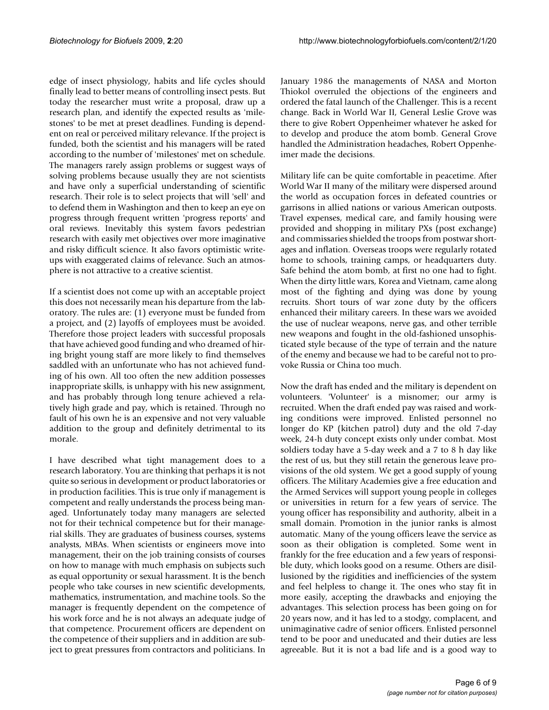edge of insect physiology, habits and life cycles should finally lead to better means of controlling insect pests. But today the researcher must write a proposal, draw up a research plan, and identify the expected results as 'milestones' to be met at preset deadlines. Funding is dependent on real or perceived military relevance. If the project is funded, both the scientist and his managers will be rated according to the number of 'milestones' met on schedule. The managers rarely assign problems or suggest ways of solving problems because usually they are not scientists and have only a superficial understanding of scientific research. Their role is to select projects that will 'sell' and to defend them in Washington and then to keep an eye on progress through frequent written 'progress reports' and oral reviews. Inevitably this system favors pedestrian research with easily met objectives over more imaginative and risky difficult science. It also favors optimistic writeups with exaggerated claims of relevance. Such an atmosphere is not attractive to a creative scientist.

If a scientist does not come up with an acceptable project this does not necessarily mean his departure from the laboratory. The rules are: (1) everyone must be funded from a project, and (2) layoffs of employees must be avoided. Therefore those project leaders with successful proposals that have achieved good funding and who dreamed of hiring bright young staff are more likely to find themselves saddled with an unfortunate who has not achieved funding of his own. All too often the new addition possesses inappropriate skills, is unhappy with his new assignment, and has probably through long tenure achieved a relatively high grade and pay, which is retained. Through no fault of his own he is an expensive and not very valuable addition to the group and definitely detrimental to its morale.

I have described what tight management does to a research laboratory. You are thinking that perhaps it is not quite so serious in development or product laboratories or in production facilities. This is true only if management is competent and really understands the process being managed. Unfortunately today many managers are selected not for their technical competence but for their managerial skills. They are graduates of business courses, systems analysts, MBAs. When scientists or engineers move into management, their on the job training consists of courses on how to manage with much emphasis on subjects such as equal opportunity or sexual harassment. It is the bench people who take courses in new scientific developments, mathematics, instrumentation, and machine tools. So the manager is frequently dependent on the competence of his work force and he is not always an adequate judge of that competence. Procurement officers are dependent on the competence of their suppliers and in addition are subject to great pressures from contractors and politicians. In

January 1986 the managements of NASA and Morton Thiokol overruled the objections of the engineers and ordered the fatal launch of the Challenger. This is a recent change. Back in World War II, General Leslie Grove was there to give Robert Oppenheimer whatever he asked for to develop and produce the atom bomb. General Grove handled the Administration headaches, Robert Oppenheimer made the decisions.

Military life can be quite comfortable in peacetime. After World War II many of the military were dispersed around the world as occupation forces in defeated countries or garrisons in allied nations or various American outposts. Travel expenses, medical care, and family housing were provided and shopping in military PXs (post exchange) and commissaries shielded the troops from postwar shortages and inflation. Overseas troops were regularly rotated home to schools, training camps, or headquarters duty. Safe behind the atom bomb, at first no one had to fight. When the dirty little wars, Korea and Vietnam, came along most of the fighting and dying was done by young recruits. Short tours of war zone duty by the officers enhanced their military careers. In these wars we avoided the use of nuclear weapons, nerve gas, and other terrible new weapons and fought in the old-fashioned unsophisticated style because of the type of terrain and the nature of the enemy and because we had to be careful not to provoke Russia or China too much.

Now the draft has ended and the military is dependent on volunteers. 'Volunteer' is a misnomer; our army is recruited. When the draft ended pay was raised and working conditions were improved. Enlisted personnel no longer do KP (kitchen patrol) duty and the old 7-day week, 24-h duty concept exists only under combat. Most soldiers today have a 5-day week and a 7 to 8 h day like the rest of us, but they still retain the generous leave provisions of the old system. We get a good supply of young officers. The Military Academies give a free education and the Armed Services will support young people in colleges or universities in return for a few years of service. The young officer has responsibility and authority, albeit in a small domain. Promotion in the junior ranks is almost automatic. Many of the young officers leave the service as soon as their obligation is completed. Some went in frankly for the free education and a few years of responsible duty, which looks good on a resume. Others are disillusioned by the rigidities and inefficiencies of the system and feel helpless to change it. The ones who stay fit in more easily, accepting the drawbacks and enjoying the advantages. This selection process has been going on for 20 years now, and it has led to a stodgy, complacent, and unimaginative cadre of senior officers. Enlisted personnel tend to be poor and uneducated and their duties are less agreeable. But it is not a bad life and is a good way to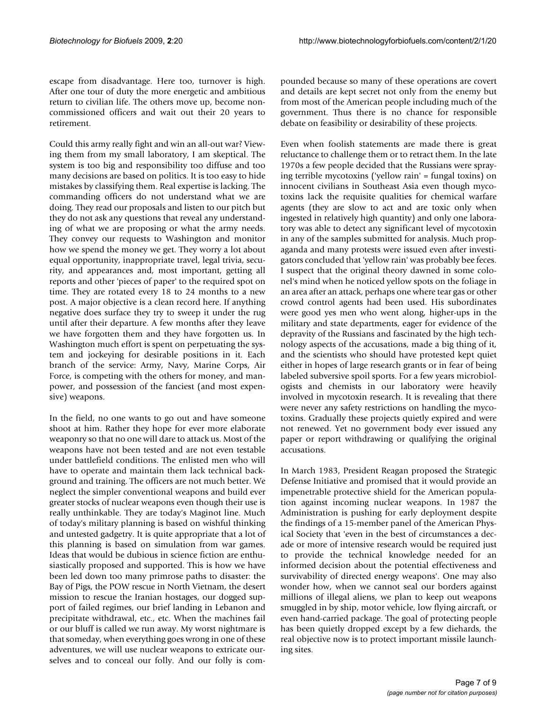escape from disadvantage. Here too, turnover is high. After one tour of duty the more energetic and ambitious return to civilian life. The others move up, become noncommissioned officers and wait out their 20 years to retirement.

Could this army really fight and win an all-out war? Viewing them from my small laboratory, I am skeptical. The system is too big and responsibility too diffuse and too many decisions are based on politics. It is too easy to hide mistakes by classifying them. Real expertise is lacking. The commanding officers do not understand what we are doing. They read our proposals and listen to our pitch but they do not ask any questions that reveal any understanding of what we are proposing or what the army needs. They convey our requests to Washington and monitor how we spend the money we get. They worry a lot about equal opportunity, inappropriate travel, legal trivia, security, and appearances and, most important, getting all reports and other 'pieces of paper' to the required spot on time. They are rotated every 18 to 24 months to a new post. A major objective is a clean record here. If anything negative does surface they try to sweep it under the rug until after their departure. A few months after they leave we have forgotten them and they have forgotten us. In Washington much effort is spent on perpetuating the system and jockeying for desirable positions in it. Each branch of the service: Army, Navy, Marine Corps, Air Force, is competing with the others for money, and manpower, and possession of the fanciest (and most expensive) weapons.

In the field, no one wants to go out and have someone shoot at him. Rather they hope for ever more elaborate weaponry so that no one will dare to attack us. Most of the weapons have not been tested and are not even testable under battlefield conditions. The enlisted men who will have to operate and maintain them lack technical background and training. The officers are not much better. We neglect the simpler conventional weapons and build ever greater stocks of nuclear weapons even though their use is really unthinkable. They are today's Maginot line. Much of today's military planning is based on wishful thinking and untested gadgetry. It is quite appropriate that a lot of this planning is based on simulation from war games. Ideas that would be dubious in science fiction are enthusiastically proposed and supported. This is how we have been led down too many primrose paths to disaster: the Bay of Pigs, the POW rescue in North Vietnam, the desert mission to rescue the Iranian hostages, our dogged support of failed regimes, our brief landing in Lebanon and precipitate withdrawal, etc., etc. When the machines fail or our bluff is called we run away. My worst nightmare is that someday, when everything goes wrong in one of these adventures, we will use nuclear weapons to extricate ourselves and to conceal our folly. And our folly is compounded because so many of these operations are covert and details are kept secret not only from the enemy but from most of the American people including much of the government. Thus there is no chance for responsible debate on feasibility or desirability of these projects.

Even when foolish statements are made there is great reluctance to challenge them or to retract them. In the late 1970s a few people decided that the Russians were spraying terrible mycotoxins ('yellow rain' = fungal toxins) on innocent civilians in Southeast Asia even though mycotoxins lack the requisite qualities for chemical warfare agents (they are slow to act and are toxic only when ingested in relatively high quantity) and only one laboratory was able to detect any significant level of mycotoxin in any of the samples submitted for analysis. Much propaganda and many protests were issued even after investigators concluded that 'yellow rain' was probably bee feces. I suspect that the original theory dawned in some colonel's mind when he noticed yellow spots on the foliage in an area after an attack, perhaps one where tear gas or other crowd control agents had been used. His subordinates were good yes men who went along, higher-ups in the military and state departments, eager for evidence of the depravity of the Russians and fascinated by the high technology aspects of the accusations, made a big thing of it, and the scientists who should have protested kept quiet either in hopes of large research grants or in fear of being labeled subversive spoil sports. For a few years microbiologists and chemists in our laboratory were heavily involved in mycotoxin research. It is revealing that there were never any safety restrictions on handling the mycotoxins. Gradually these projects quietly expired and were not renewed. Yet no government body ever issued any paper or report withdrawing or qualifying the original accusations.

In March 1983, President Reagan proposed the Strategic Defense Initiative and promised that it would provide an impenetrable protective shield for the American population against incoming nuclear weapons. In 1987 the Administration is pushing for early deployment despite the findings of a 15-member panel of the American Physical Society that 'even in the best of circumstances a decade or more of intensive research would be required just to provide the technical knowledge needed for an informed decision about the potential effectiveness and survivability of directed energy weapons'. One may also wonder how, when we cannot seal our borders against millions of illegal aliens, we plan to keep out weapons smuggled in by ship, motor vehicle, low flying aircraft, or even hand-carried package. The goal of protecting people has been quietly dropped except by a few diehards, the real objective now is to protect important missile launching sites.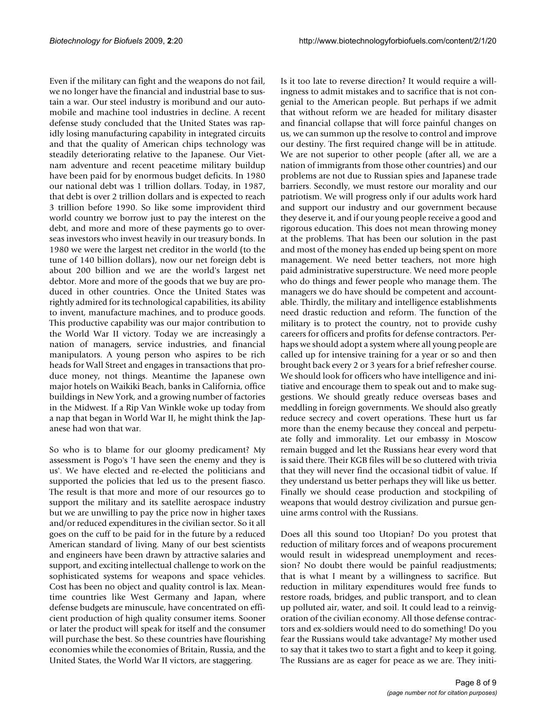Even if the military can fight and the weapons do not fail, we no longer have the financial and industrial base to sustain a war. Our steel industry is moribund and our automobile and machine tool industries in decline. A recent defense study concluded that the United States was rapidly losing manufacturing capability in integrated circuits and that the quality of American chips technology was steadily deteriorating relative to the Japanese. Our Vietnam adventure and recent peacetime military buildup have been paid for by enormous budget deficits. In 1980 our national debt was 1 trillion dollars. Today, in 1987, that debt is over 2 trillion dollars and is expected to reach 3 trillion before 1990. So like some improvident third world country we borrow just to pay the interest on the debt, and more and more of these payments go to overseas investors who invest heavily in our treasury bonds. In 1980 we were the largest net creditor in the world (to the tune of 140 billion dollars), now our net foreign debt is about 200 billion and we are the world's largest net debtor. More and more of the goods that we buy are produced in other countries. Once the United States was rightly admired for its technological capabilities, its ability to invent, manufacture machines, and to produce goods. This productive capability was our major contribution to the World War II victory. Today we are increasingly a nation of managers, service industries, and financial manipulators. A young person who aspires to be rich heads for Wall Street and engages in transactions that produce money, not things. Meantime the Japanese own major hotels on Waikiki Beach, banks in California, office buildings in New York, and a growing number of factories in the Midwest. If a Rip Van Winkle woke up today from a nap that began in World War II, he might think the Japanese had won that war.

So who is to blame for our gloomy predicament? My assessment is Pogo's 'I have seen the enemy and they is us'. We have elected and re-elected the politicians and supported the policies that led us to the present fiasco. The result is that more and more of our resources go to support the military and its satellite aerospace industry but we are unwilling to pay the price now in higher taxes and/or reduced expenditures in the civilian sector. So it all goes on the cuff to be paid for in the future by a reduced American standard of living. Many of our best scientists and engineers have been drawn by attractive salaries and support, and exciting intellectual challenge to work on the sophisticated systems for weapons and space vehicles. Cost has been no object and quality control is lax. Meantime countries like West Germany and Japan, where defense budgets are minuscule, have concentrated on efficient production of high quality consumer items. Sooner or later the product will speak for itself and the consumer will purchase the best. So these countries have flourishing economies while the economies of Britain, Russia, and the United States, the World War II victors, are staggering.

Is it too late to reverse direction? It would require a willingness to admit mistakes and to sacrifice that is not congenial to the American people. But perhaps if we admit that without reform we are headed for military disaster and financial collapse that will force painful changes on us, we can summon up the resolve to control and improve our destiny. The first required change will be in attitude. We are not superior to other people (after all, we are a nation of immigrants from those other countries) and our problems are not due to Russian spies and Japanese trade barriers. Secondly, we must restore our morality and our patriotism. We will progress only if our adults work hard and support our industry and our government because they deserve it, and if our young people receive a good and rigorous education. This does not mean throwing money at the problems. That has been our solution in the past and most of the money has ended up being spent on more management. We need better teachers, not more high paid administrative superstructure. We need more people who do things and fewer people who manage them. The managers we do have should be competent and accountable. Thirdly, the military and intelligence establishments need drastic reduction and reform. The function of the military is to protect the country, not to provide cushy careers for officers and profits for defense contractors. Perhaps we should adopt a system where all young people are called up for intensive training for a year or so and then brought back every 2 or 3 years for a brief refresher course. We should look for officers who have intelligence and initiative and encourage them to speak out and to make suggestions. We should greatly reduce overseas bases and meddling in foreign governments. We should also greatly reduce secrecy and covert operations. These hurt us far more than the enemy because they conceal and perpetuate folly and immorality. Let our embassy in Moscow remain bugged and let the Russians hear every word that is said there. Their KGB files will be so cluttered with trivia that they will never find the occasional tidbit of value. If they understand us better perhaps they will like us better. Finally we should cease production and stockpiling of weapons that would destroy civilization and pursue genuine arms control with the Russians.

Does all this sound too Utopian? Do you protest that reduction of military forces and of weapons procurement would result in widespread unemployment and recession? No doubt there would be painful readjustments; that is what I meant by a willingness to sacrifice. But reduction in military expenditures would free funds to restore roads, bridges, and public transport, and to clean up polluted air, water, and soil. It could lead to a reinvigoration of the civilian economy. All those defense contractors and ex-soldiers would need to do something! Do you fear the Russians would take advantage? My mother used to say that it takes two to start a fight and to keep it going. The Russians are as eager for peace as we are. They initi